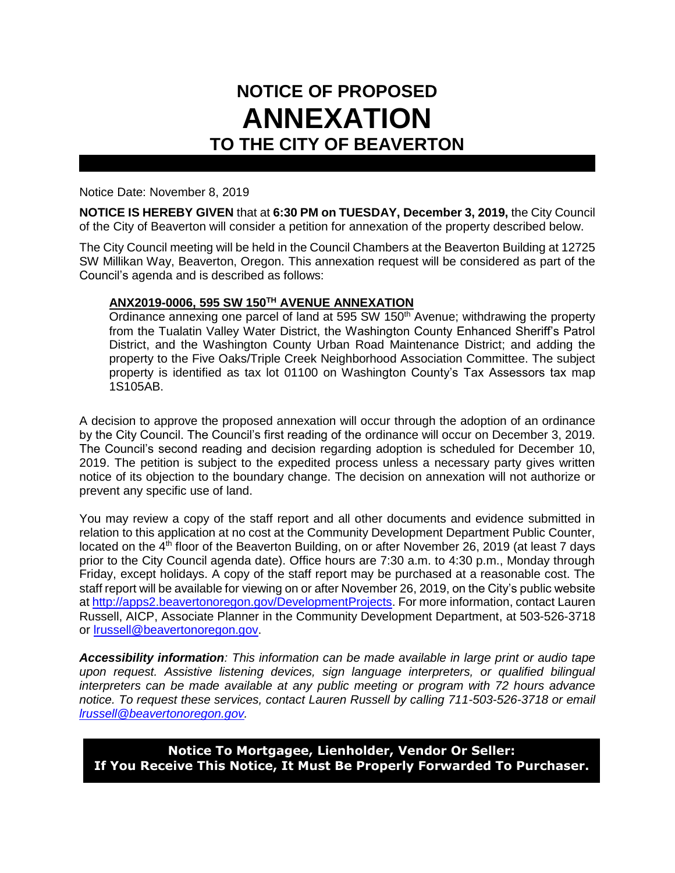## **NOTICE OF PROPOSED ANNEXATION TO THE CITY OF BEAVERTON**

Notice Date: November 8, 2019

**NOTICE IS HEREBY GIVEN** that at **6:30 PM on TUESDAY, December 3, 2019,** the City Council of the City of Beaverton will consider a petition for annexation of the property described below.

The City Council meeting will be held in the Council Chambers at the Beaverton Building at 12725 SW Millikan Way, Beaverton, Oregon. This annexation request will be considered as part of the Council's agenda and is described as follows:

## **ANX2019-0006, 595 SW 150TH AVENUE ANNEXATION**

Ordinance annexing one parcel of land at 595 SW 150<sup>th</sup> Avenue; withdrawing the property from the Tualatin Valley Water District, the Washington County Enhanced Sheriff's Patrol District, and the Washington County Urban Road Maintenance District; and adding the property to the Five Oaks/Triple Creek Neighborhood Association Committee. The subject property is identified as tax lot 01100 on Washington County's Tax Assessors tax map 1S105AB.

A decision to approve the proposed annexation will occur through the adoption of an ordinance by the City Council. The Council's first reading of the ordinance will occur on December 3, 2019. The Council's second reading and decision regarding adoption is scheduled for December 10, 2019. The petition is subject to the expedited process unless a necessary party gives written notice of its objection to the boundary change. The decision on annexation will not authorize or prevent any specific use of land.

You may review a copy of the staff report and all other documents and evidence submitted in relation to this application at no cost at the Community Development Department Public Counter, located on the 4<sup>th</sup> floor of the Beaverton Building, on or after November 26, 2019 (at least 7 days prior to the City Council agenda date). Office hours are 7:30 a.m. to 4:30 p.m., Monday through Friday, except holidays. A copy of the staff report may be purchased at a reasonable cost. The staff report will be available for viewing on or after November 26, 2019, on the City's public website a[t http://apps2.beavertonoregon.gov/DevelopmentProjects.](http://apps2.beavertonoregon.gov/DevelopmentProjects) For more information, contact Lauren Russell, AICP, Associate Planner in the Community Development Department, at 503-526-3718 or [lrussell@beavertonoregon.gov.](mailto:lrussell@beavertonoregon.gov)

*Accessibility information: This information can be made available in large print or audio tape upon request. Assistive listening devices, sign language interpreters, or qualified bilingual interpreters can be made available at any public meeting or program with 72 hours advance notice. To request these services, contact Lauren Russell by calling 711-503-526-3718 or email [lrussell@beavertonoregon.gov.](mailto:lrussell@beavertonoregon.gov)*

**Notice To Mortgagee, Lienholder, Vendor Or Seller: If You Receive This Notice, It Must Be Properly Forwarded To Purchaser.**